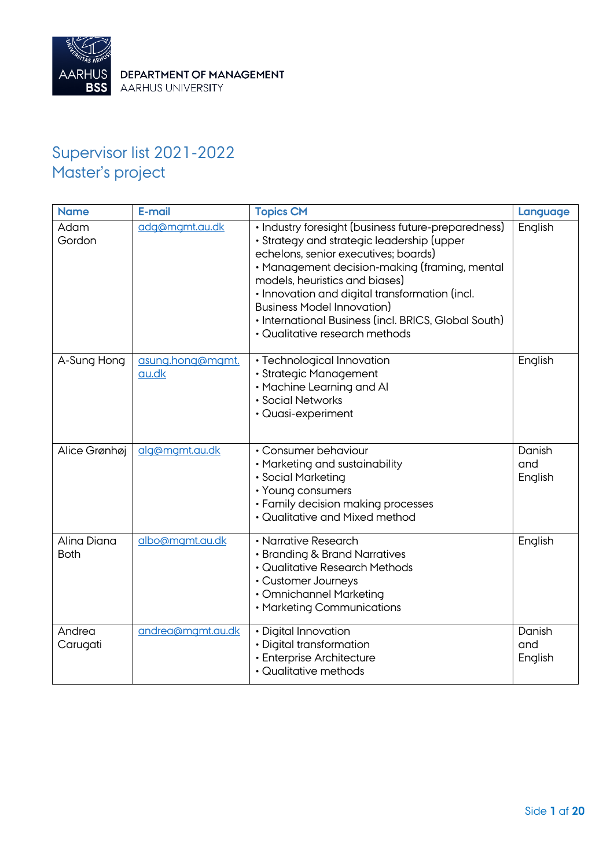

# Supervisor list 2021-2022 Master's project

| <b>Name</b>                | E-mail                    | <b>Topics CM</b>                                                                                                                                                                                                                                                                                                                                                                                              | Language                 |
|----------------------------|---------------------------|---------------------------------------------------------------------------------------------------------------------------------------------------------------------------------------------------------------------------------------------------------------------------------------------------------------------------------------------------------------------------------------------------------------|--------------------------|
| Adam<br>Gordon             | adg@mgmt.au.dk            | · Industry foresight (business future-preparedness)<br>• Strategy and strategic leadership (upper<br>echelons, senior executives; boards)<br>• Management decision-making (framing, mental<br>models, heuristics and biases)<br>· Innovation and digital transformation (incl.<br><b>Business Model Innovation)</b><br>• International Business (incl. BRICS, Global South)<br>· Qualitative research methods | English                  |
| A-Sung Hong                | asung.hong@mgmt.<br>au.dk | · Technological Innovation<br>· Strategic Management<br>• Machine Learning and Al<br>· Social Networks<br>• Quasi-experiment                                                                                                                                                                                                                                                                                  | English                  |
| Alice Grønhøj              | alg@mgmt.au.dk            | • Consumer behaviour<br>• Marketing and sustainability<br>· Social Marketing<br>• Young consumers<br>• Family decision making processes<br>• Qualitative and Mixed method                                                                                                                                                                                                                                     | Danish<br>and<br>English |
| Alina Diana<br><b>Both</b> | albo@mgmt.au.dk           | • Narrative Research<br>• Branding & Brand Narratives<br>· Qualitative Research Methods<br>• Customer Journeys<br>• Omnichannel Marketing<br>• Marketing Communications                                                                                                                                                                                                                                       | English                  |
| Andrea<br>Carugati         | andrea@mgmt.au.dk         | · Digital Innovation<br>· Digital transformation<br>· Enterprise Architecture<br>• Qualitative methods                                                                                                                                                                                                                                                                                                        | Danish<br>and<br>English |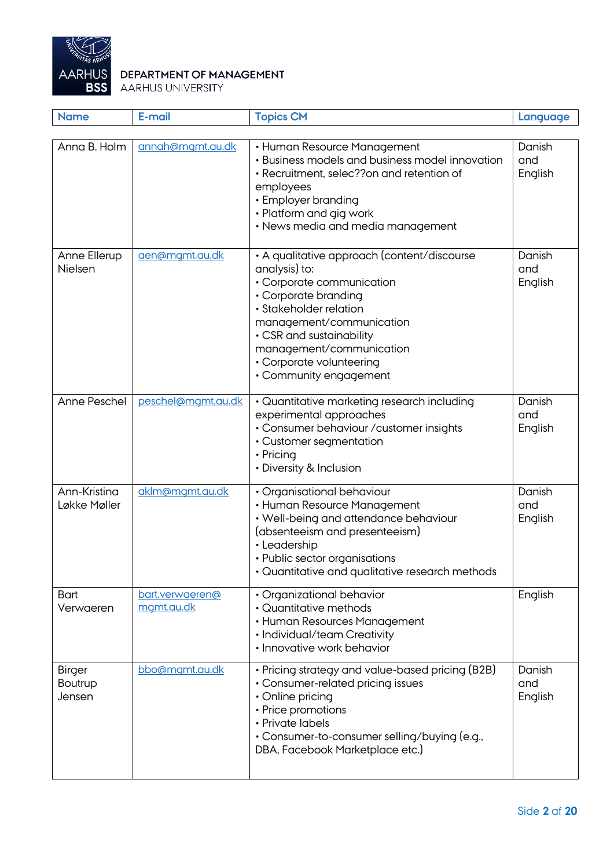

| <b>Name</b>                               | E-mail                        | <b>Topics CM</b>                                                                                                                                                                                                                                                                      | Language                 |
|-------------------------------------------|-------------------------------|---------------------------------------------------------------------------------------------------------------------------------------------------------------------------------------------------------------------------------------------------------------------------------------|--------------------------|
| Anna B. Holm                              | annah@mgmt.au.dk              | • Human Resource Management<br>• Business models and business model innovation<br>• Recruitment, selec?? on and retention of<br>employees<br>• Employer branding<br>• Platform and gig work<br>• News media and media management                                                      | Danish<br>and<br>English |
| Anne Ellerup<br>Nielsen                   | aen@mgmt.au.dk                | • A qualitative approach (content/discourse<br>analysis) to:<br>· Corporate communication<br>• Corporate branding<br>· Stakeholder relation<br>management/communication<br>• CSR and sustainability<br>management/communication<br>• Corporate volunteering<br>• Community engagement | Danish<br>and<br>English |
| Anne Peschel                              | peschel@mgmt.au.dk            | • Quantitative marketing research including<br>experimental approaches<br>• Consumer behaviour / customer insights<br>• Customer segmentation<br>• Pricing<br>• Diversity & Inclusion                                                                                                 | Danish<br>and<br>English |
| Ann-Kristina<br>Løkke Møller              | aklm@mgmt.au.dk               | · Organisational behaviour<br>• Human Resource Management<br>• Well-being and attendance behaviour<br>(absenteeism and presenteeism)<br>· Leadership<br>• Public sector organisations<br>• Quantitative and qualitative research methods                                              | Danish<br>and<br>English |
| Bart<br>Verwaeren                         | bart.verwaeren@<br>mgmt.au.dk | · Organizational behavior<br>• Quantitative methods<br>• Human Resources Management<br>• Individual/team Creativity<br>• Innovative work behavior                                                                                                                                     | English                  |
| <b>Birger</b><br><b>Boutrup</b><br>Jensen | bbo@mgmt.au.dk                | • Pricing strategy and value-based pricing (B2B)<br>• Consumer-related pricing issues<br>• Online pricing<br>• Price promotions<br>• Private labels<br>• Consumer-to-consumer selling/buying (e.g.,<br>DBA, Facebook Marketplace etc.)                                                | Danish<br>and<br>English |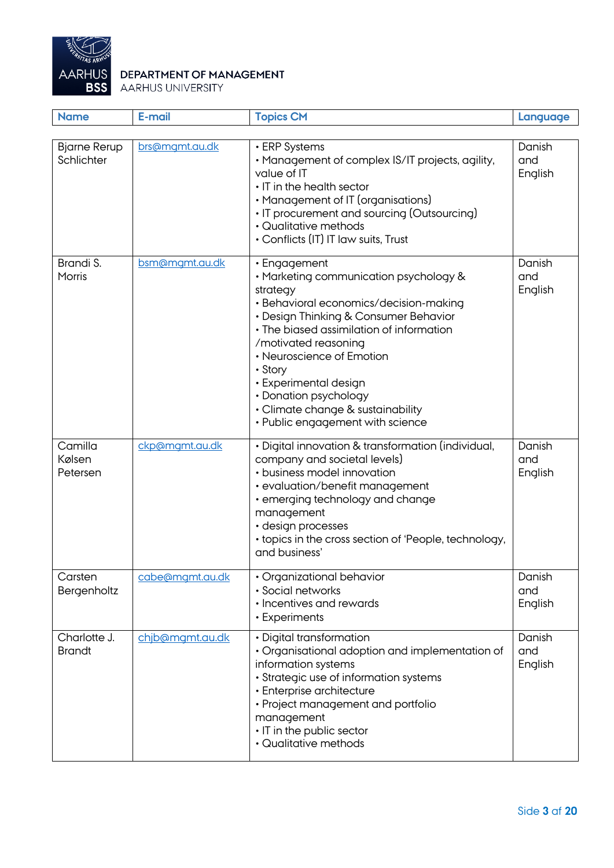

| <b>Name</b>                       | E-mail          | <b>Topics CM</b>                                                                                                                                                                                                                                                                                                                                                                             | Language                 |
|-----------------------------------|-----------------|----------------------------------------------------------------------------------------------------------------------------------------------------------------------------------------------------------------------------------------------------------------------------------------------------------------------------------------------------------------------------------------------|--------------------------|
| <b>Bjarne Rerup</b><br>Schlichter | brs@mgmt.au.dk  | • ERP Systems<br>• Management of complex IS/IT projects, agility,<br>value of IT<br>• IT in the health sector<br>• Management of IT (organisations)<br>• IT procurement and sourcing (Outsourcing)<br>• Qualitative methods<br>• Conflicts (IT) IT law suits, Trust                                                                                                                          | Danish<br>and<br>English |
| Brandi S.<br>Morris               | bsm@mgmt.au.dk  | • Engagement<br>· Marketing communication psychology &<br>strategy<br>· Behavioral economics/decision-making<br>• Design Thinking & Consumer Behavior<br>• The biased assimilation of information<br>/motivated reasoning<br>• Neuroscience of Emotion<br>• Story<br>• Experimental design<br>• Donation psychology<br>• Climate change & sustainability<br>• Public engagement with science | Danish<br>and<br>English |
| Camilla<br>Kølsen<br>Petersen     | ckp@mgmt.au.dk  | • Digital innovation & transformation (individual,<br>company and societal levels)<br>• business model innovation<br>• evaluation/benefit management<br>• emerging technology and change<br>management<br>• design processes<br>• topics in the cross section of 'People, technology,<br>and business'                                                                                       | Danish<br>and<br>English |
| Carsten<br>Bergenholtz            | cabe@mgmt.au.dk | • Organizational behavior<br>· Social networks<br>• Incentives and rewards<br>• Experiments                                                                                                                                                                                                                                                                                                  | Danish<br>and<br>English |
| Charlotte J.<br><b>Brandt</b>     | chjb@mgmt.au.dk | • Digital transformation<br>• Organisational adoption and implementation of<br>information systems<br>• Strategic use of information systems<br>• Enterprise architecture<br>• Project management and portfolio<br>management<br>• IT in the public sector<br>• Qualitative methods                                                                                                          | Danish<br>and<br>English |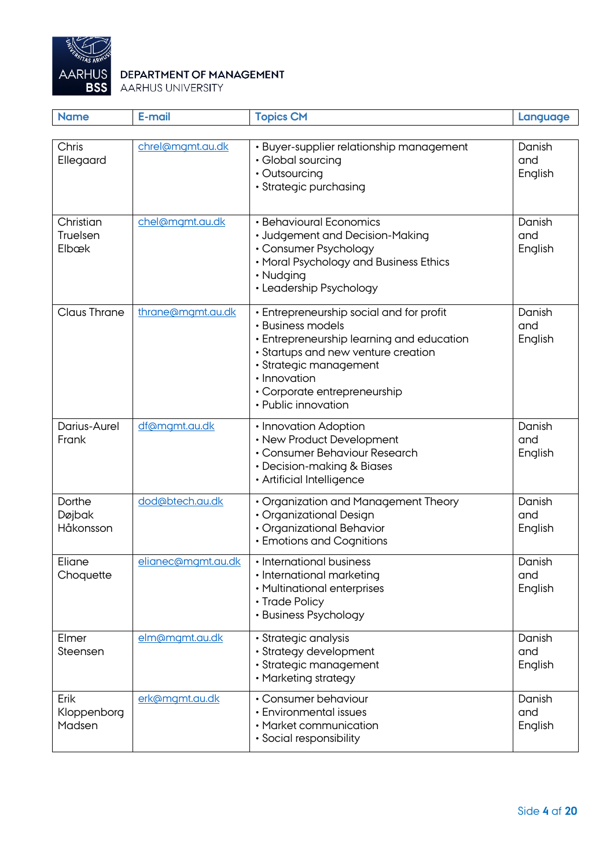

| <b>Name</b>                    | E-mail             | <b>Topics CM</b>                                                                                                                                                                                                                                   | Language                 |
|--------------------------------|--------------------|----------------------------------------------------------------------------------------------------------------------------------------------------------------------------------------------------------------------------------------------------|--------------------------|
| Chris<br>Ellegaard             | chrel@mgmt.au.dk   | · Buyer-supplier relationship management<br>• Global sourcing<br>• Outsourcing<br>· Strategic purchasing                                                                                                                                           | Danish<br>and<br>English |
| Christian<br>Truelsen<br>Elbæk | chel@mgmt.au.dk    | • Behavioural Economics<br>• Judgement and Decision-Making<br>• Consumer Psychology<br>• Moral Psychology and Business Ethics<br>• Nudging<br>• Leadership Psychology                                                                              | Danish<br>and<br>English |
| <b>Claus Thrane</b>            | thrane@mgmt.au.dk  | • Entrepreneurship social and for profit<br>• Business models<br>· Entrepreneurship learning and education<br>• Startups and new venture creation<br>· Strategic management<br>· Innovation<br>• Corporate entrepreneurship<br>• Public innovation | Danish<br>and<br>English |
| Darius-Aurel<br>Frank          | df@mgmt.au.dk      | • Innovation Adoption<br>• New Product Development<br>• Consumer Behaviour Research<br>• Decision-making & Biases<br>· Artificial Intelligence                                                                                                     | Danish<br>and<br>English |
| Dorthe<br>Døjbak<br>Håkonsson  | dod@btech.au.dk    | • Organization and Management Theory<br>• Organizational Design<br>· Organizational Behavior<br>• Emotions and Cognitions                                                                                                                          | Danish<br>and<br>English |
| Eliane<br>Choquette            | elianec@mgmt.au.dk | • International business<br>· International marketing<br>• Multinational enterprises<br>• Trade Policy<br>• Business Psychology                                                                                                                    | Danish<br>and<br>English |
| Elmer<br>Steensen              | elm@mgmt.au.dk     | · Strategic analysis<br>• Strategy development<br>· Strategic management<br>• Marketing strategy                                                                                                                                                   | Danish<br>and<br>English |
| Erik<br>Kloppenborg<br>Madsen  | erk@mgmt.au.dk     | • Consumer behaviour<br>• Environmental issues<br>• Market communication<br>• Social responsibility                                                                                                                                                | Danish<br>and<br>English |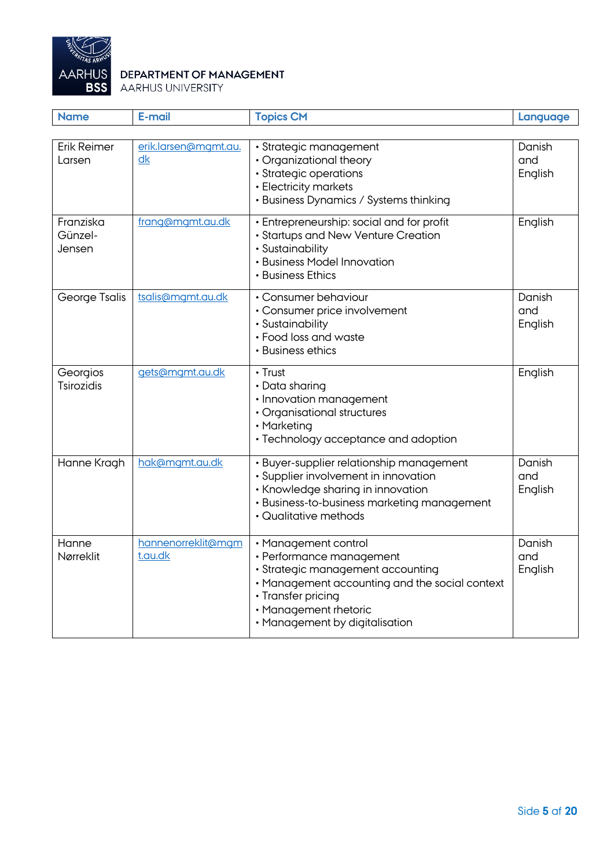

| <b>Name</b>                    | E-mail                        | <b>Topics CM</b>                                                                                                                                                                                                         | Language                 |
|--------------------------------|-------------------------------|--------------------------------------------------------------------------------------------------------------------------------------------------------------------------------------------------------------------------|--------------------------|
|                                |                               |                                                                                                                                                                                                                          |                          |
| <b>Erik Reimer</b><br>Larsen   | erik.larsen@mgmt.au.<br>dk    | · Strategic management<br>• Organizational theory<br>· Strategic operations<br>· Electricity markets<br>• Business Dynamics / Systems thinking                                                                           | Danish<br>and<br>English |
| Franziska<br>Günzel-<br>Jensen | frang@mgmt.au.dk              | • Entrepreneurship: social and for profit<br>· Startups and New Venture Creation<br>· Sustainability<br>· Business Model Innovation<br>• Business Ethics                                                                 | English                  |
| George Tsalis                  | tsalis@mamt.au.dk             | · Consumer behaviour<br>· Consumer price involvement<br>· Sustainability<br>• Food loss and waste<br>• Business ethics                                                                                                   | Danish<br>and<br>English |
| Georgios<br><b>Tsirozidis</b>  | gets@mgmt.au.dk               | $\cdot$ Trust<br>• Data sharing<br>· Innovation management<br>· Organisational structures<br>• Marketing<br>· Technology acceptance and adoption                                                                         | English                  |
| Hanne Kragh                    | hak@mgmt.au.dk                | · Buyer-supplier relationship management<br>· Supplier involvement in innovation<br>· Knowledge sharing in innovation<br>· Business-to-business marketing management<br>• Qualitative methods                            | Danish<br>and<br>English |
| Hanne<br>Nørreklit             | hannenorreklit@mgm<br>t.au.dk | · Management control<br>· Performance management<br>· Strategic management accounting<br>• Management accounting and the social context<br>· Transfer pricing<br>· Management rhetoric<br>• Management by digitalisation | Danish<br>and<br>English |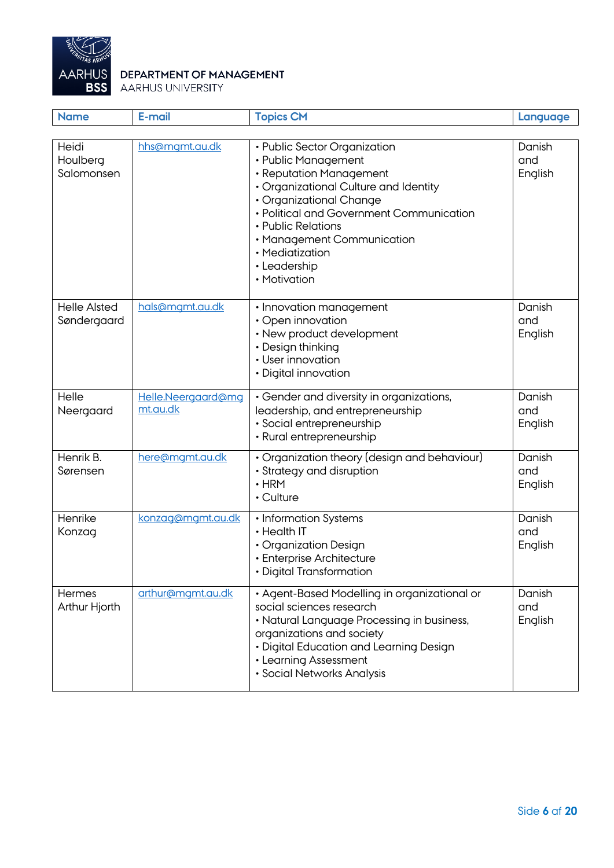

| <b>Name</b>                        | E-mail                         | <b>Topics CM</b>                                                                                                                                                                                                                                                                                      | Language                 |
|------------------------------------|--------------------------------|-------------------------------------------------------------------------------------------------------------------------------------------------------------------------------------------------------------------------------------------------------------------------------------------------------|--------------------------|
|                                    |                                |                                                                                                                                                                                                                                                                                                       |                          |
| Heidi<br>Houlberg<br>Salomonsen    | hhs@mgmt.au.dk                 | • Public Sector Organization<br>• Public Management<br>• Reputation Management<br>• Organizational Culture and Identity<br>• Organizational Change<br>• Political and Government Communication<br>• Public Relations<br>• Management Communication<br>• Mediatization<br>• Leadership<br>• Motivation | Danish<br>and<br>English |
| <b>Helle Alsted</b><br>Søndergaard | hals@mgmt.au.dk                | • Innovation management<br>· Open innovation<br>• New product development<br>• Design thinking<br>• User innovation<br>• Digital innovation                                                                                                                                                           | Danish<br>and<br>English |
| Helle<br>Neergaard                 | Helle.Neergaard@mg<br>mt.au.dk | • Gender and diversity in organizations,<br>leadership, and entrepreneurship<br>· Social entrepreneurship<br>• Rural entrepreneurship                                                                                                                                                                 | Danish<br>and<br>English |
| Henrik B.<br>Sørensen              | here@mgmt.au.dk                | • Organization theory (design and behaviour)<br>• Strategy and disruption<br>$\cdot$ HRM<br>$\cdot$ Culture                                                                                                                                                                                           | Danish<br>and<br>English |
| Henrike<br>Konzag                  | konzag@mgmt.au.dk              | • Information Systems<br>• Health IT<br>• Organization Design<br>• Enterprise Architecture<br>· Digital Transformation                                                                                                                                                                                | Danish<br>and<br>English |
| Hermes<br>Arthur Hjorth            | arthur@mgmt.au.dk              | • Agent-Based Modelling in organizational or<br>social sciences research<br>• Natural Language Processing in business,<br>organizations and society<br>• Digital Education and Learning Design<br>• Learning Assessment<br>• Social Networks Analysis                                                 | Danish<br>and<br>English |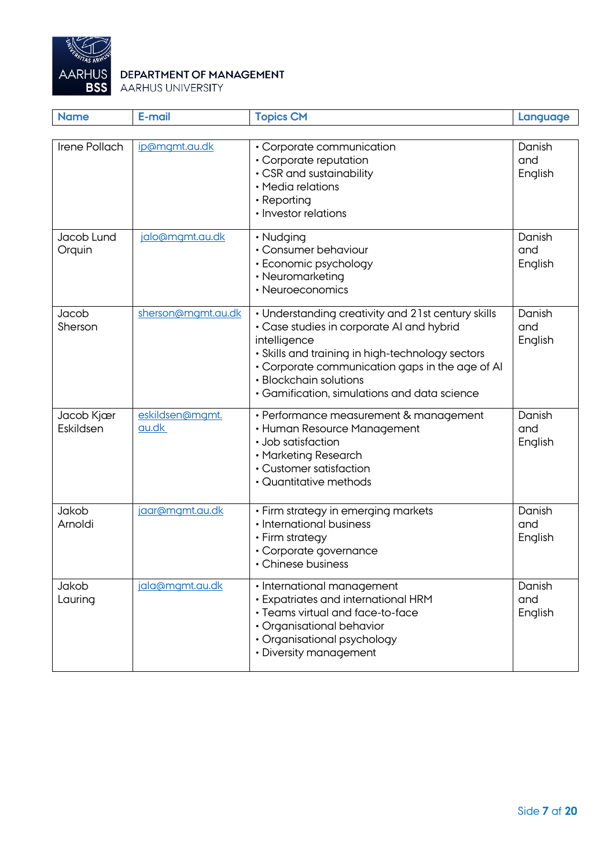

| <b>Name</b>             | E-mail                   | <b>Topics CM</b>                                                                                                                                                                                                                                                                                 | Language                 |
|-------------------------|--------------------------|--------------------------------------------------------------------------------------------------------------------------------------------------------------------------------------------------------------------------------------------------------------------------------------------------|--------------------------|
| Irene Pollach           | ip@mgmt.au.dk            | • Corporate communication<br>• Corporate reputation<br>• CSR and sustainability<br>• Media relations<br>• Reporting<br>• Investor relations                                                                                                                                                      | Danish<br>and<br>English |
| Jacob Lund<br>Orquin    | jalo@mgmt.au.dk          | • Nudging<br>• Consumer behaviour<br>• Economic psychology<br>• Neuromarketing<br>• Neuroeconomics                                                                                                                                                                                               | Danish<br>and<br>English |
| Jacob<br>Sherson        | sherson@mgmt.au.dk       | • Understanding creativity and 21st century skills<br>• Case studies in corporate AI and hybrid<br>intelligence<br>• Skills and training in high-technology sectors<br>• Corporate communication gaps in the age of AI<br>• Blockchain solutions<br>• Gamification, simulations and data science | Danish<br>and<br>English |
| Jacob Kjær<br>Eskildsen | eskildsen@mgmt.<br>au.dk | • Performance measurement & management<br>• Human Resource Management<br>• Job satisfaction<br>• Marketing Research<br>• Customer satisfaction<br>• Quantitative methods                                                                                                                         | Danish<br>and<br>English |
| Jakob<br>Arnoldi        | jaar@mgmt.au.dk          | • Firm strategy in emerging markets<br>• International business<br>• Firm strategy<br>• Corporate governance<br>• Chinese business                                                                                                                                                               | Danish<br>and<br>English |
| Jakob<br>Lauring        | jala@mgmt.au.dk          | • International management<br>• Expatriates and international HRM<br>• Teams virtual and face-to-face<br>• Organisational behavior<br>• Organisational psychology<br>• Diversity management                                                                                                      | Danish<br>and<br>English |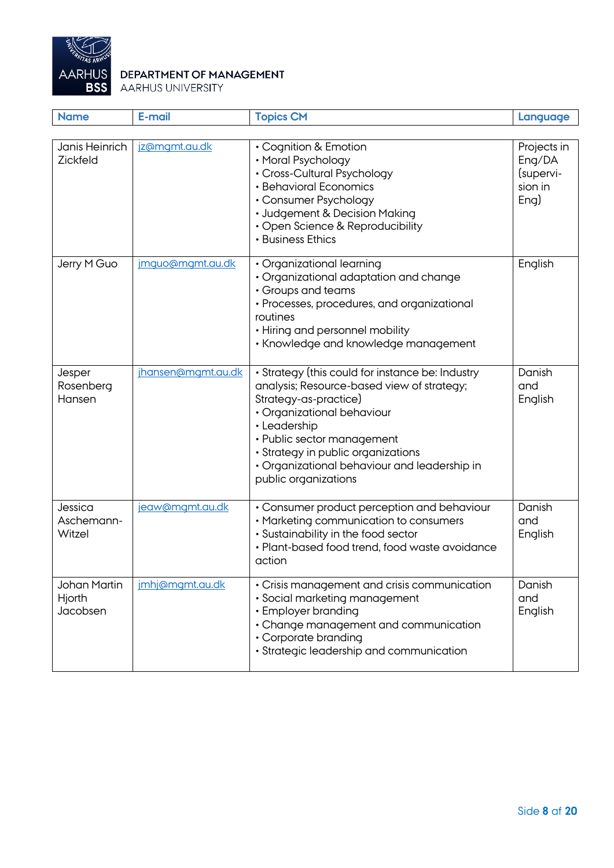

| <b>Name</b>                               | E-mail             | <b>Topics CM</b>                                                                                                                                                                                                                                                                                                  | Language                                              |
|-------------------------------------------|--------------------|-------------------------------------------------------------------------------------------------------------------------------------------------------------------------------------------------------------------------------------------------------------------------------------------------------------------|-------------------------------------------------------|
|                                           |                    |                                                                                                                                                                                                                                                                                                                   |                                                       |
| Janis Heinrich<br><b>Zickfeld</b>         | jz@mgmt.au.dk      | • Cognition & Emotion<br>• Moral Psychology<br>• Cross-Cultural Psychology<br>• Behavioral Economics<br>• Consumer Psychology<br>• Judgement & Decision Making<br>• Open Science & Reproducibility<br>• Business Ethics                                                                                           | Projects in<br>Eng/DA<br>(supervi-<br>sion in<br>Eng) |
| Jerry M Guo                               | imquo@mqmt.au.dk   | • Organizational learning<br>· Organizational adaptation and change<br>• Groups and teams<br>• Processes, procedures, and organizational<br>routines<br>• Hiring and personnel mobility<br>• Knowledge and knowledge management                                                                                   | English                                               |
| Jesper<br>Rosenberg<br>Hansen             | jhansen@mgmt.au.dk | • Strategy (this could for instance be: Industry<br>analysis; Resource-based view of strategy;<br>Strategy-as-practice)<br>• Organizational behaviour<br>• Leadership<br>• Public sector management<br>· Strategy in public organizations<br>• Organizational behaviour and leadership in<br>public organizations | Danish<br>and<br>English                              |
| Jessica<br>Aschemann-<br>Witzel           | jeaw@mgmt.au.dk    | • Consumer product perception and behaviour<br>• Marketing communication to consumers<br>• Sustainability in the food sector<br>• Plant-based food trend, food waste avoidance<br>action                                                                                                                          | Danish<br>and<br>English                              |
| <b>Johan Martin</b><br>Hjorth<br>Jacobsen | imhj@mgmt.au.dk    | • Crisis management and crisis communication<br>· Social marketing management<br>• Employer branding<br>• Change management and communication<br>• Corporate branding<br>· Strategic leadership and communication                                                                                                 | Danish<br>and<br>English                              |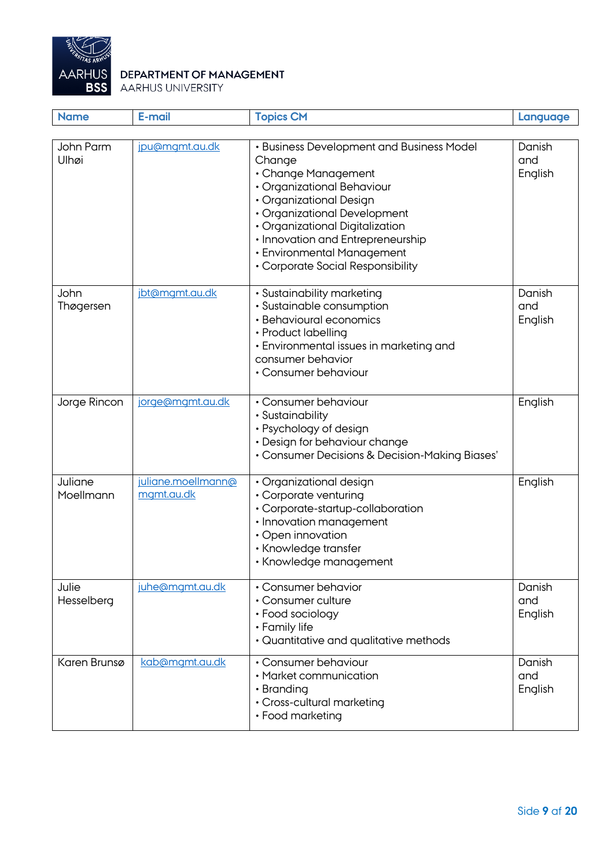

| <b>Name</b>          | E-mail                           | <b>Topics CM</b>                                                                                                                                                                                                                                                                                               | Language                 |
|----------------------|----------------------------------|----------------------------------------------------------------------------------------------------------------------------------------------------------------------------------------------------------------------------------------------------------------------------------------------------------------|--------------------------|
| John Parm<br>Ulhøi   | jpu@mgmt.au.dk                   | • Business Development and Business Model<br>Change<br>• Change Management<br>· Organizational Behaviour<br>• Organizational Design<br>• Organizational Development<br>· Organizational Digitalization<br>• Innovation and Entrepreneurship<br>• Environmental Management<br>• Corporate Social Responsibility | Danish<br>and<br>English |
| John<br>Thøgersen    | jbt@mgmt.au.dk                   | • Sustainability marketing<br>• Sustainable consumption<br>• Behavioural economics<br>• Product labelling<br>• Environmental issues in marketing and<br>consumer behavior<br>• Consumer behaviour                                                                                                              | Danish<br>and<br>English |
| Jorge Rincon         | jorge@mgmt.au.dk                 | • Consumer behaviour<br>· Sustainability<br>• Psychology of design<br>• Design for behaviour change<br>• Consumer Decisions & Decision-Making Biases'                                                                                                                                                          | English                  |
| Juliane<br>Moellmann | juliane.moellmann@<br>mgmt.au.dk | · Organizational design<br>• Corporate venturing<br>• Corporate-startup-collaboration<br>· Innovation management<br>• Open innovation<br>• Knowledge transfer<br>• Knowledge management                                                                                                                        | English                  |
| Julie<br>Hesselberg  | juhe@mgmt.au.dk                  | • Consumer behavior<br>• Consumer culture<br>• Food sociology<br>• Family life<br>• Quantitative and qualitative methods                                                                                                                                                                                       | Danish<br>and<br>English |
| Karen Brunsø         | kab@mgmt.au.dk                   | • Consumer behaviour<br>• Market communication<br>• Branding<br>• Cross-cultural marketing<br>• Food marketing                                                                                                                                                                                                 | Danish<br>and<br>English |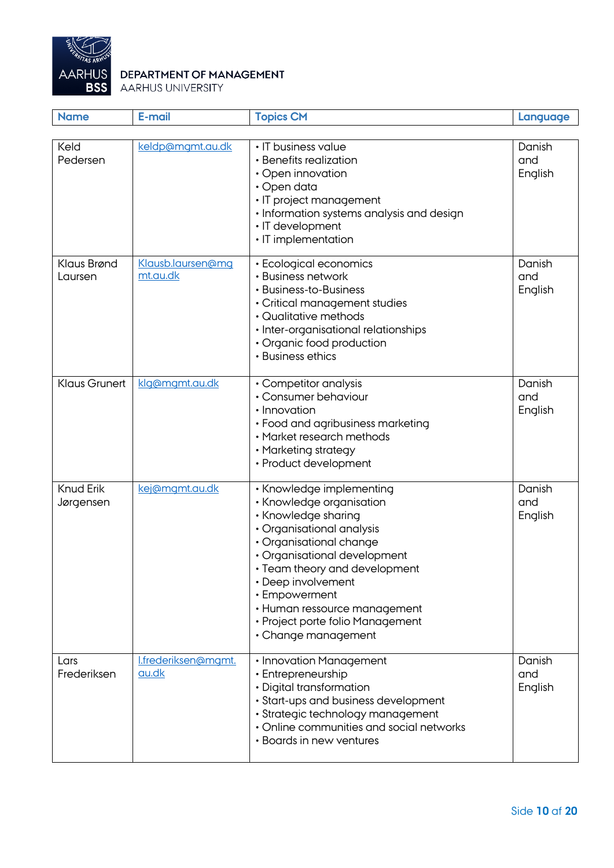

| <b>Name</b>                   | E-mail                              | <b>Topics CM</b>                                                                                                                                                                                                                                                                                                                       | Language                 |
|-------------------------------|-------------------------------------|----------------------------------------------------------------------------------------------------------------------------------------------------------------------------------------------------------------------------------------------------------------------------------------------------------------------------------------|--------------------------|
| Keld                          | keldp@mgmt.au.dk                    | • IT business value                                                                                                                                                                                                                                                                                                                    | Danish                   |
| Pedersen                      |                                     | • Benefits realization<br>• Open innovation<br>$\cdot$ Open data<br>· IT project management<br>• Information systems analysis and design<br>· IT development<br>• IT implementation                                                                                                                                                    | and<br>English           |
| Klaus Brønd<br>Laursen        | Klausb.laursen@mg<br>mt.au.dk       | • Ecological economics<br>• Business network<br>• Business-to-Business<br>· Critical management studies<br>• Qualitative methods<br>· Inter-organisational relationships<br>• Organic food production<br>• Business ethics                                                                                                             | Danish<br>and<br>English |
| <b>Klaus Grunert</b>          | klg@mgmt.au.dk                      | • Competitor analysis<br>• Consumer behaviour<br>• Innovation<br>• Food and agribusiness marketing<br>• Market research methods<br>• Marketing strategy<br>• Product development                                                                                                                                                       | Danish<br>and<br>English |
| <b>Knud Erik</b><br>Jørgensen | kej@mgmt.au.dk                      | • Knowledge implementing<br>• Knowledge organisation<br>• Knowledge sharing<br>• Organisational analysis<br>· Organisational change<br>• Organisational development<br>• Team theory and development<br>• Deep involvement<br>• Empowerment<br>• Human ressource management<br>• Project porte folio Management<br>• Change management | Danish<br>and<br>English |
| Lars<br>Frederiksen           | I.frederiksen@mgmt.<br><u>au.dk</u> | • Innovation Management<br>• Entrepreneurship<br>• Digital transformation<br>· Start-ups and business development<br>· Strategic technology management<br>• Online communities and social networks<br>• Boards in new ventures                                                                                                         | Danish<br>and<br>English |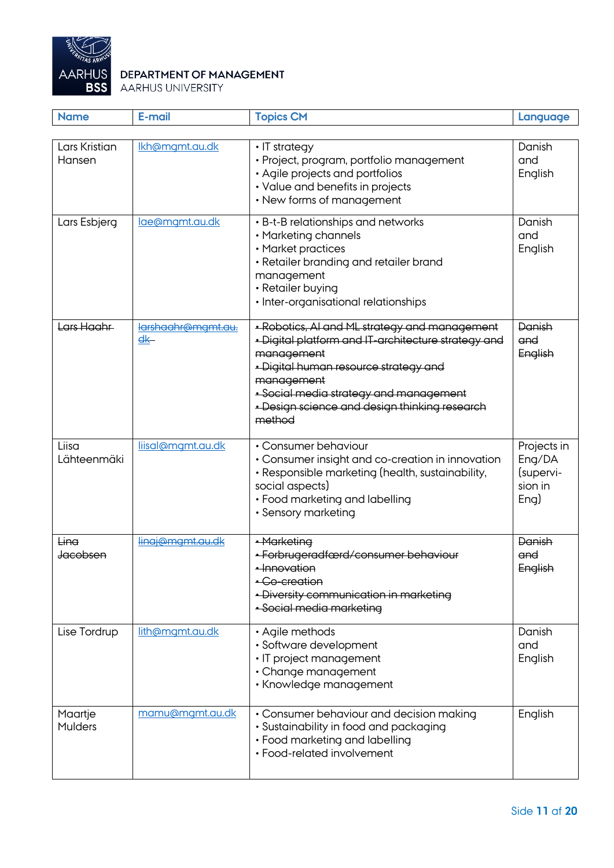

| <b>Name</b>               | E-mail                               | <b>Topics CM</b>                                                                                                                                                                                                                                                               | Language                                              |
|---------------------------|--------------------------------------|--------------------------------------------------------------------------------------------------------------------------------------------------------------------------------------------------------------------------------------------------------------------------------|-------------------------------------------------------|
|                           |                                      |                                                                                                                                                                                                                                                                                |                                                       |
| Lars Kristian<br>Hansen   | Ikh@mgmt.au.dk                       | • IT strategy<br>· Project, program, portfolio management<br>• Agile projects and portfolios<br>• Value and benefits in projects<br>• New forms of management                                                                                                                  | Danish<br>and<br>English                              |
| Lars Esbjerg              | lae@mgmt.au.dk                       | • B-t-B relationships and networks<br>• Marketing channels<br>• Market practices<br>• Retailer branding and retailer brand<br>management<br>• Retailer buying<br>· Inter-organisational relationships                                                                          | Danish<br>and<br>English                              |
| Lars Haahr                | larshaahr@mamt.au.<br>$\frac{d}{dx}$ | · Robotics, AI and ML strategy and management<br>· Digital platform and IT-architecture strategy and<br>management<br>· Digital human resource strategy and<br>management<br>· Social media strategy and management<br>- Design science and design thinking research<br>method | Danish<br>and<br>English                              |
| Liisa<br>Lähteenmäki      | liisal@mgmt.au.dk                    | • Consumer behaviour<br>• Consumer insight and co-creation in innovation<br>• Responsible marketing (health, sustainability,<br>social aspects)<br>• Food marketing and labelling<br>• Sensory marketing                                                                       | Projects in<br>Eng/DA<br>(supervi-<br>sion in<br>Eng) |
| Lina<br>Jacobsen          | lingj@mgmt.gu.dk                     | · Marketing<br>• Forbrugeradfærd/consumer behaviour<br>· Innovation<br>• Co-creation<br>· Diversity communication in marketing<br>· Social media marketing                                                                                                                     | Danish<br>and<br>English                              |
| Lise Tordrup              | lith@mgmt.au.dk                      | • Agile methods<br>· Software development<br>• IT project management<br>• Change management<br>· Knowledge management                                                                                                                                                          | Danish<br>and<br>English                              |
| Maartje<br><b>Mulders</b> | mamu@mgmt.au.dk                      | • Consumer behaviour and decision making<br>• Sustainability in food and packaging<br>• Food marketing and labelling<br>• Food-related involvement                                                                                                                             | English                                               |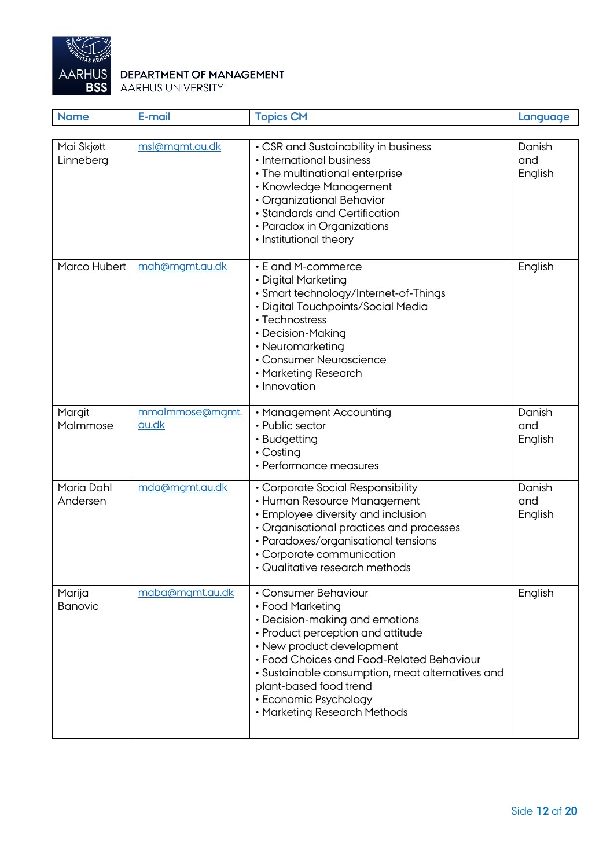

| <b>Name</b>              | E-mail                   | <b>Topics CM</b>                                                                                                                                                                                                                                                                                                                 | Language                 |
|--------------------------|--------------------------|----------------------------------------------------------------------------------------------------------------------------------------------------------------------------------------------------------------------------------------------------------------------------------------------------------------------------------|--------------------------|
|                          |                          |                                                                                                                                                                                                                                                                                                                                  |                          |
| Mai Skjøtt<br>Linneberg  | msl@mgmt.au.dk           | • CSR and Sustainability in business<br>• International business<br>• The multinational enterprise<br>• Knowledge Management<br>• Organizational Behavior<br>• Standards and Certification<br>• Paradox in Organizations<br>• Institutional theory                                                                               | Danish<br>and<br>English |
| Marco Hubert             | mah@mgmt.au.dk           | • E and M-commerce<br>• Digital Marketing<br>· Smart technology/Internet-of-Things<br>· Digital Touchpoints/Social Media<br>• Technostress<br>• Decision-Making<br>• Neuromarketing<br>• Consumer Neuroscience<br>• Marketing Research<br>· Innovation                                                                           | English                  |
| Margit<br>Malmmose       | mmalmmose@mgmt.<br>au.dk | • Management Accounting<br>• Public sector<br>• Budgetting<br>$\cdot$ Costing<br>• Performance measures                                                                                                                                                                                                                          | Danish<br>and<br>English |
| Maria Dahl<br>Andersen   | mda@mgmt.au.dk           | • Corporate Social Responsibility<br>• Human Resource Management<br>• Employee diversity and inclusion<br>• Organisational practices and processes<br>· Paradoxes/organisational tensions<br>• Corporate communication<br>· Qualitative research methods                                                                         | Danish<br>and<br>English |
| Marija<br><b>Banovic</b> | maba@mgmt.au.dk          | • Consumer Behaviour<br>• Food Marketing<br>• Decision-making and emotions<br>• Product perception and attitude<br>• New product development<br>• Food Choices and Food-Related Behaviour<br>· Sustainable consumption, meat alternatives and<br>plant-based food trend<br>• Economic Psychology<br>• Marketing Research Methods | English                  |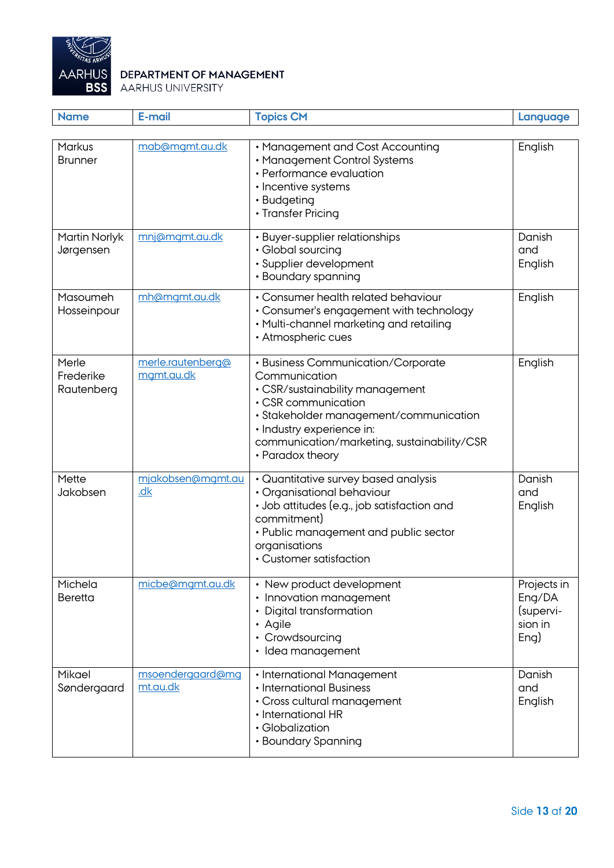

| <b>Name</b>                      | E-mail                                | <b>Topics CM</b>                                                                                                                                                                                                                                        | Language                                              |
|----------------------------------|---------------------------------------|---------------------------------------------------------------------------------------------------------------------------------------------------------------------------------------------------------------------------------------------------------|-------------------------------------------------------|
| Markus<br><b>Brunner</b>         | mab@mgmt.au.dk                        | • Management and Cost Accounting<br>• Management Control Systems<br>• Performance evaluation<br>· Incentive systems<br>• Budgeting<br>• Transfer Pricing                                                                                                | English                                               |
| Martin Norlyk<br>Jørgensen       | mnj@mgmt.au.dk                        | • Buyer-supplier relationships<br>• Global sourcing<br>· Supplier development<br>• Boundary spanning                                                                                                                                                    | Danish<br>and<br>English                              |
| Masoumeh<br>Hosseinpour          | mh@mgmt.au.dk                         | • Consumer health related behaviour<br>• Consumer's engagement with technology<br>• Multi-channel marketing and retailing<br>• Atmospheric cues                                                                                                         | English                                               |
| Merle<br>Frederike<br>Rautenberg | merle.rautenberg@<br>mgmt.au.dk       | • Business Communication/Corporate<br>Communication<br>• CSR/sustainability management<br>• CSR communication<br>· Stakeholder management/communication<br>· Industry experience in:<br>communication/marketing, sustainability/CSR<br>• Paradox theory | English                                               |
| Mette<br>Jakobsen                | mjakobsen@mgmt.au<br>$\underline{dk}$ | • Quantitative survey based analysis<br>· Organisational behaviour<br>• Job attitudes (e.g., job satisfaction and<br>commitment)<br>• Public management and public sector<br>organisations<br>• Customer satisfaction                                   | Danish<br>and<br>English                              |
| Michela<br><b>Beretta</b>        | micbe@mgmt.au.dk                      | • New product development<br>• Innovation management<br>• Digital transformation<br>• Agile<br>• Crowdsourcing<br>· Idea management                                                                                                                     | Projects in<br>Eng/DA<br>(supervi-<br>sion in<br>Eng) |
| Mikael<br>Søndergaard            | msoendergaard@mg<br>mt.au.dk          | • International Management<br>• International Business<br>• Cross cultural management<br>• International HR<br>· Globalization<br>• Boundary Spanning                                                                                                   | Danish<br>and<br>English                              |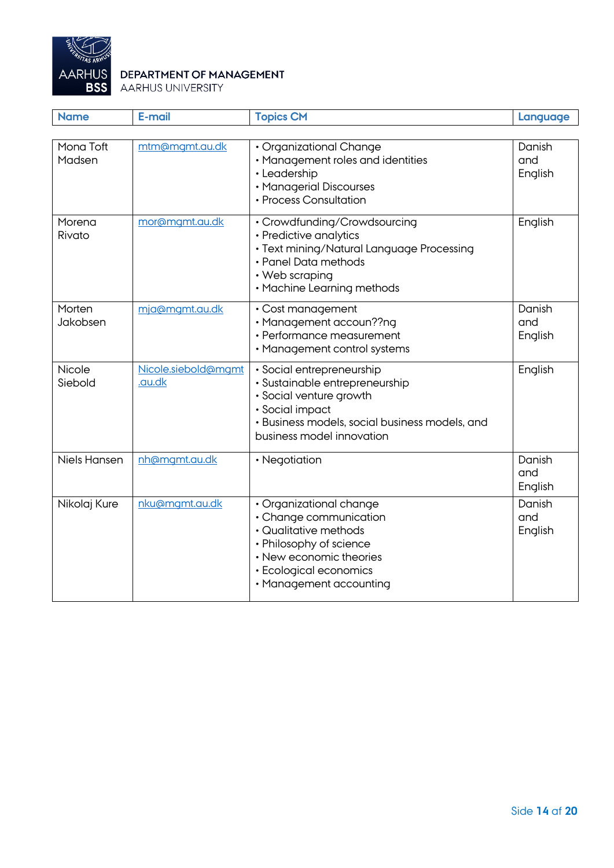

| <b>Name</b>         | E-mail                        | <b>Topics CM</b>                                                                                                                                                                         | Language                 |
|---------------------|-------------------------------|------------------------------------------------------------------------------------------------------------------------------------------------------------------------------------------|--------------------------|
|                     |                               |                                                                                                                                                                                          |                          |
| Mona Toft<br>Madsen | mtm@mgmt.au.dk                | • Organizational Change<br>• Management roles and identities<br>• Leadership<br>• Managerial Discourses<br>• Process Consultation                                                        | Danish<br>and<br>English |
| Morena<br>Rivato    | mor@mgmt.au.dk                | • Crowdfunding/Crowdsourcing<br>• Predictive analytics<br>· Text mining/Natural Language Processing<br>• Panel Data methods<br>• Web scraping<br>• Machine Learning methods              | English                  |
| Morten<br>Jakobsen  | mja@mgmt.au.dk                | • Cost management<br>· Management accoun??ng<br>• Performance measurement<br>• Management control systems                                                                                | Danish<br>and<br>English |
| Nicole<br>Siebold   | Nicole.siebold@mamt<br>.au.dk | · Social entrepreneurship<br>· Sustainable entrepreneurship<br>· Social venture growth<br>· Social impact<br>• Business models, social business models, and<br>business model innovation | English                  |
| <b>Niels Hansen</b> | nh@mgmt.au.dk                 | • Negotiation                                                                                                                                                                            | Danish<br>and<br>English |
| Nikolaj Kure        | nku@mgmt.au.dk                | · Organizational change<br>• Change communication<br>• Qualitative methods<br>• Philosophy of science<br>• New economic theories<br>• Ecological economics<br>• Management accounting    | Danish<br>and<br>English |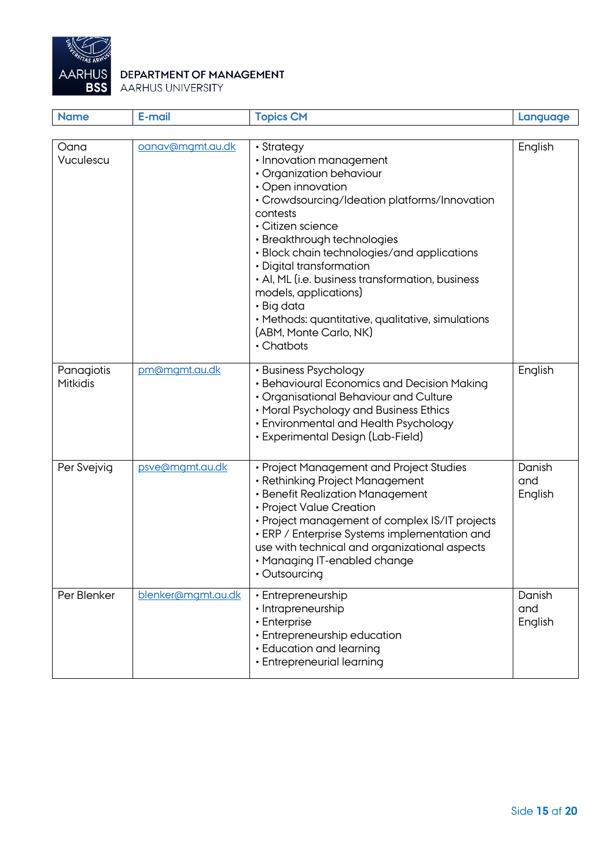

| <b>Name</b>            | E-mail             | <b>Topics CM</b>                                                                                                                                                                                                                                                                                                                                                                                                                                                           | Language                 |
|------------------------|--------------------|----------------------------------------------------------------------------------------------------------------------------------------------------------------------------------------------------------------------------------------------------------------------------------------------------------------------------------------------------------------------------------------------------------------------------------------------------------------------------|--------------------------|
|                        |                    |                                                                                                                                                                                                                                                                                                                                                                                                                                                                            |                          |
| Oana<br>Vuculescu      | oanav@mgmt.au.dk   | • Strategy<br>· Innovation management<br>• Organization behaviour<br>• Open innovation<br>• Crowdsourcing/Ideation platforms/Innovation<br>contests<br>• Citizen science<br>· Breakthrough technologies<br>• Block chain technologies/and applications<br>• Digital transformation<br>• AI, ML (i.e. business transformation, business<br>models, applications)<br>• Big data<br>• Methods: quantitative, qualitative, simulations<br>(ABM, Monte Carlo, NK)<br>• Chatbots | English                  |
| Panagiotis<br>Mitkidis | pm@mgmt.au.dk      | • Business Psychology<br>• Behavioural Economics and Decision Making<br>• Organisational Behaviour and Culture<br>• Moral Psychology and Business Ethics<br>• Environmental and Health Psychology<br>• Experimental Design (Lab-Field)                                                                                                                                                                                                                                     | English                  |
| Per Svejvig            | psve@mgmt.au.dk    | • Project Management and Project Studies<br>• Rethinking Project Management<br>· Benefit Realization Management<br>• Project Value Creation<br>• Project management of complex IS/IT projects<br>• ERP / Enterprise Systems implementation and<br>use with technical and organizational aspects<br>· Managing IT-enabled change<br>• Outsourcing                                                                                                                           | Danish<br>and<br>English |
| Per Blenker            | blenker@mgmt.au.dk | • Entrepreneurship<br>• Intrapreneurship<br>• Enterprise<br>• Entrepreneurship education<br>• Education and learning<br>• Entrepreneurial learning                                                                                                                                                                                                                                                                                                                         | Danish<br>and<br>English |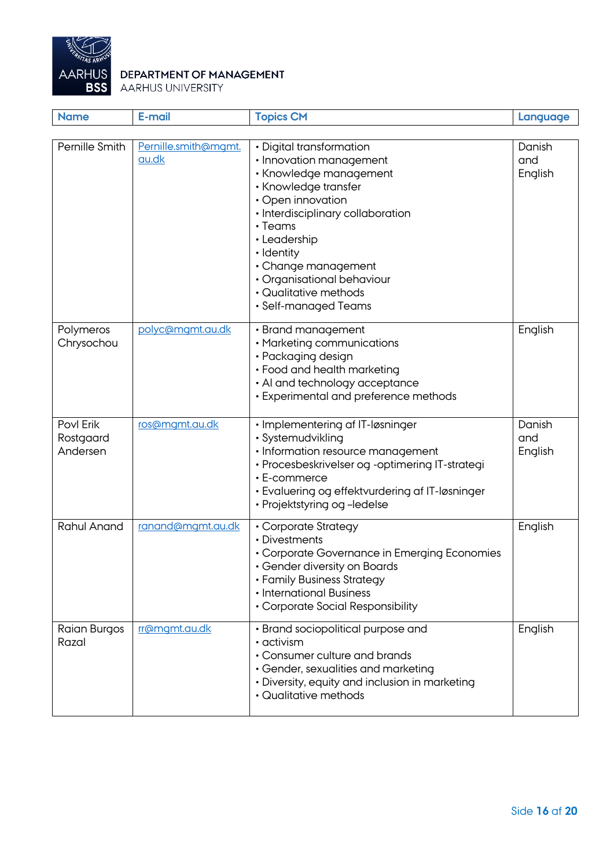

| <b>Name</b>                        | E-mail                        | <b>Topics CM</b>                                                                                                                                                                                                                                                                                                     | Language                 |
|------------------------------------|-------------------------------|----------------------------------------------------------------------------------------------------------------------------------------------------------------------------------------------------------------------------------------------------------------------------------------------------------------------|--------------------------|
|                                    |                               |                                                                                                                                                                                                                                                                                                                      |                          |
| Pernille Smith                     | Pernille.smith@mgmt.<br>au.dk | • Digital transformation<br>• Innovation management<br>• Knowledge management<br>• Knowledge transfer<br>• Open innovation<br>· Interdisciplinary collaboration<br>$\cdot$ Teams<br>• Leadership<br>· Identity<br>• Change management<br>• Organisational behaviour<br>• Qualitative methods<br>· Self-managed Teams | Danish<br>and<br>English |
| Polymeros<br>Chrysochou            | polyc@mgmt.au.dk              | • Brand management<br>• Marketing communications<br>· Packaging design<br>• Food and health marketing<br>• Al and technology acceptance<br>• Experimental and preference methods                                                                                                                                     | English                  |
| Povl Erik<br>Rostgaard<br>Andersen | ros@mgmt.au.dk                | • Implementering af IT-løsninger<br>· Systemudvikling<br>· Information resource management<br>· Procesbeskrivelser og -optimering IT-strategi<br>• E-commerce<br>• Evaluering og effektvurdering af IT-løsninger<br>• Projektstyring og -ledelse                                                                     | Danish<br>and<br>English |
| <b>Rahul Anand</b>                 | ranand@mgmt.au.dk             | • Corporate Strategy<br>• Divestments<br>• Corporate Governance in Emerging Economies<br>• Gender diversity on Boards<br>• Family Business Strategy<br>• International Business<br>• Corporate Social Responsibility                                                                                                 | English                  |
| Raian Burgos<br>Razal              | rr@mgmt.au.dk                 | • Brand sociopolitical purpose and<br>$\cdot$ activism<br>• Consumer culture and brands<br>· Gender, sexualities and marketing<br>• Diversity, equity and inclusion in marketing<br>• Qualitative methods                                                                                                            | English                  |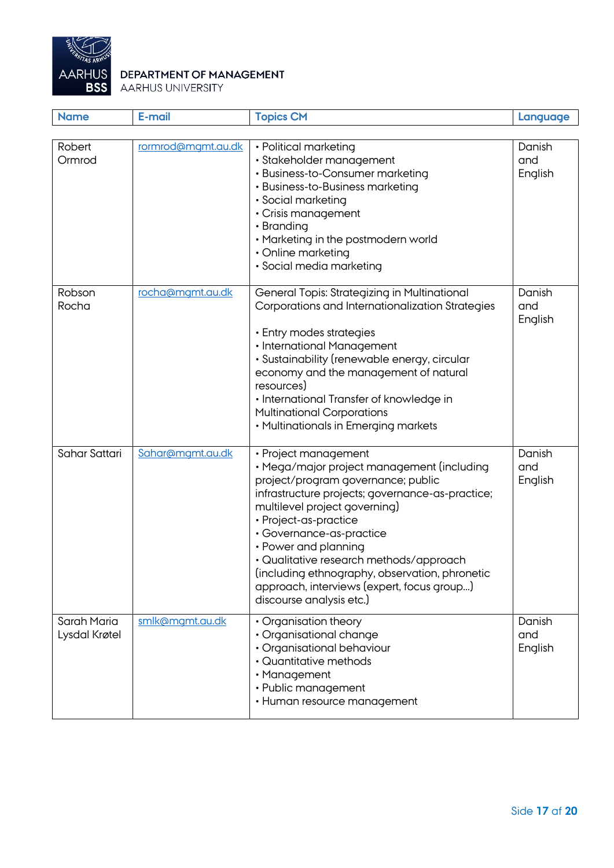

| <b>Name</b>                  | E-mail             | <b>Topics CM</b>                                                                                                                                                                                                                                                                                                                                                                                                                                  | Language                 |
|------------------------------|--------------------|---------------------------------------------------------------------------------------------------------------------------------------------------------------------------------------------------------------------------------------------------------------------------------------------------------------------------------------------------------------------------------------------------------------------------------------------------|--------------------------|
| Robert<br>Ormrod             | rormrod@mgmt.au.dk | • Political marketing<br>· Stakeholder management<br>• Business-to-Consumer marketing<br>• Business-to-Business marketing<br>· Social marketing<br>• Crisis management<br>• Branding<br>• Marketing in the postmodern world<br>• Online marketing<br>· Social media marketing                                                                                                                                                                     | Danish<br>and<br>English |
| Robson<br>Rocha              | rocha@mgmt.au.dk   | General Topis: Strategizing in Multinational<br>Corporations and Internationalization Strategies<br>• Entry modes strategies<br>• International Management<br>· Sustainability (renewable energy, circular<br>economy and the management of natural<br>resources)<br>· International Transfer of knowledge in<br><b>Multinational Corporations</b><br>• Multinationals in Emerging markets                                                        | Danish<br>and<br>English |
| Sahar Sattari                | Sahar@mgmt.au.dk   | • Project management<br>· Mega/major project management (including<br>project/program governance; public<br>infrastructure projects; governance-as-practice;<br>multilevel project governing)<br>• Project-as-practice<br>· Governance-as-practice<br>• Power and planning<br>· Qualitative research methods/approach<br>(including ethnography, observation, phronetic<br>approach, interviews (expert, focus group)<br>discourse analysis etc.) | Danish<br>and<br>English |
| Sarah Maria<br>Lysdal Krøtel | smlk@mgmt.au.dk    | • Organisation theory<br>• Organisational change<br>· Organisational behaviour<br>• Quantitative methods<br>• Management<br>• Public management<br>• Human resource management                                                                                                                                                                                                                                                                    | Danish<br>and<br>English |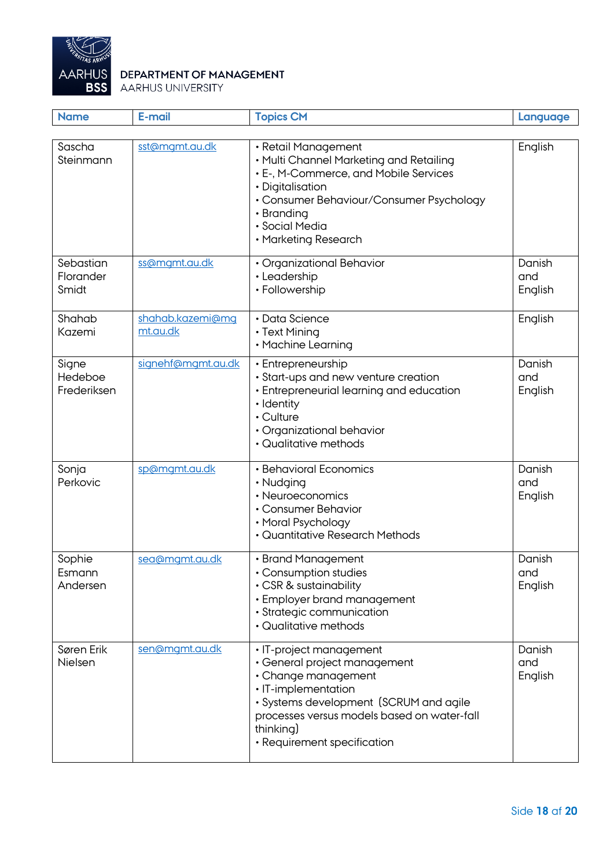

| <b>Name</b>                     | E-mail                       | <b>Topics CM</b>                                                                                                                                                                                                                           | Language                 |
|---------------------------------|------------------------------|--------------------------------------------------------------------------------------------------------------------------------------------------------------------------------------------------------------------------------------------|--------------------------|
| Sascha<br>Steinmann             | sst@mgmt.au.dk               | • Retail Management<br>• Multi Channel Marketing and Retailing<br>• E-, M-Commerce, and Mobile Services<br>· Digitalisation<br>• Consumer Behaviour/Consumer Psychology<br>• Branding<br>· Social Media<br>• Marketing Research            | English                  |
| Sebastian<br>Florander<br>Smidt | ss@mamt.au.dk                | • Organizational Behavior<br>• Leadership<br>• Followership                                                                                                                                                                                | Danish<br>and<br>English |
| Shahab<br>Kazemi                | shahab.kazemi@mq<br>mt.au.dk | • Data Science<br>• Text Mining<br>• Machine Learning                                                                                                                                                                                      | English                  |
| Signe<br>Hedeboe<br>Frederiksen | signehf@mgmt.au.dk           | • Entrepreneurship<br>• Start-ups and new venture creation<br>• Entrepreneurial learning and education<br>· Identity<br>• Culture<br>· Organizational behavior<br>• Qualitative methods                                                    | Danish<br>and<br>English |
| Sonja<br>Perkovic               | sp@mgmt.au.dk                | • Behavioral Economics<br>• Nudging<br>• Neuroeconomics<br>• Consumer Behavior<br>• Moral Psychology<br>• Quantitative Research Methods                                                                                                    | Danish<br>and<br>English |
| Sophie<br>Esmann<br>Andersen    | sea@mamt.au.dk               | • Brand Management<br>· Consumption studies<br>• CSR & sustainability<br>• Employer brand management<br>· Strategic communication<br>• Qualitative methods                                                                                 | Danish<br>and<br>English |
| Søren Erik<br>Nielsen           | sen@mgmt.au.dk               | • IT-project management<br>• General project management<br>• Change management<br>· IT-implementation<br>· Systems development (SCRUM and agile<br>processes versus models based on water-fall<br>thinking)<br>• Requirement specification | Danish<br>and<br>English |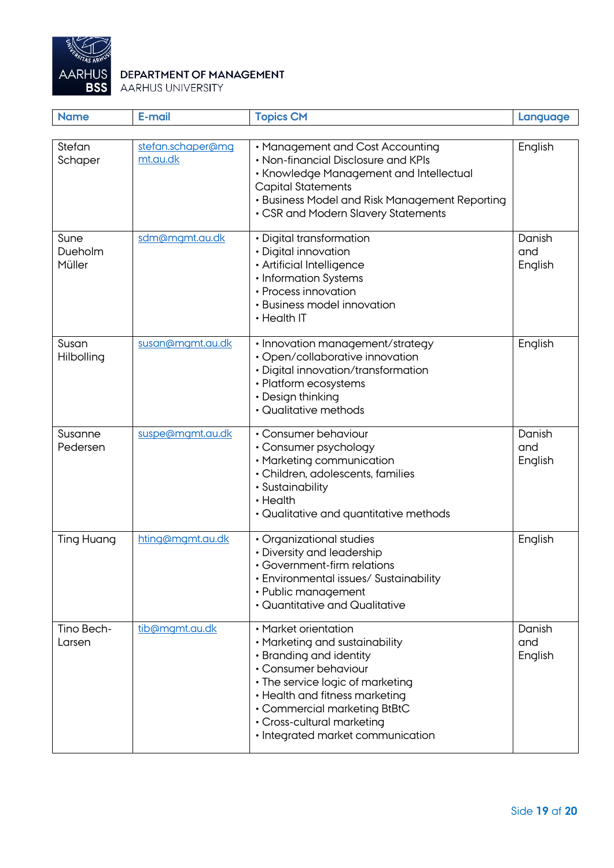

| <b>Name</b>               | E-mail                        | <b>Topics CM</b>                                                                                                                                                                                                                                                                   | Language                 |
|---------------------------|-------------------------------|------------------------------------------------------------------------------------------------------------------------------------------------------------------------------------------------------------------------------------------------------------------------------------|--------------------------|
|                           |                               |                                                                                                                                                                                                                                                                                    |                          |
| Stefan<br>Schaper         | stefan.schaper@mq<br>mt.au.dk | • Management and Cost Accounting<br>• Non-financial Disclosure and KPIs<br>• Knowledge Management and Intellectual<br><b>Capital Statements</b><br>• Business Model and Risk Management Reporting<br>• CSR and Modern Slavery Statements                                           | English                  |
| Sune<br>Dueholm<br>Müller | sdm@mgmt.au.dk                | • Digital transformation<br>· Digital innovation<br>· Artificial Intelligence<br>• Information Systems<br>• Process innovation<br>• Business model innovation<br>• Health IT                                                                                                       | Danish<br>and<br>English |
| Susan<br>Hilbolling       | susan@mgmt.au.dk              | · Innovation management/strategy<br>· Open/collaborative innovation<br>· Digital innovation/transformation<br>• Platform ecosystems<br>• Design thinking<br>• Qualitative methods                                                                                                  | English                  |
| Susanne<br>Pedersen       | suspe@mgmt.au.dk              | • Consumer behaviour<br>· Consumer psychology<br>• Marketing communication<br>· Children, adolescents, families<br>· Sustainability<br>• Health<br>• Qualitative and quantitative methods                                                                                          | Danish<br>and<br>English |
| <b>Ting Huang</b>         | hting@mgmt.au.dk              | · Organizational studies<br>• Diversity and leadership<br>• Government-firm relations<br>• Environmental issues/ Sustainability<br>• Public management<br>• Quantitative and Qualitative                                                                                           | English                  |
| Tino Bech-<br>Larsen      | tib@mgmt.au.dk                | · Market orientation<br>• Marketing and sustainability<br>• Branding and identity<br>• Consumer behaviour<br>• The service logic of marketing<br>• Health and fitness marketing<br>• Commercial marketing BtBtC<br>• Cross-cultural marketing<br>• Integrated market communication | Danish<br>and<br>English |